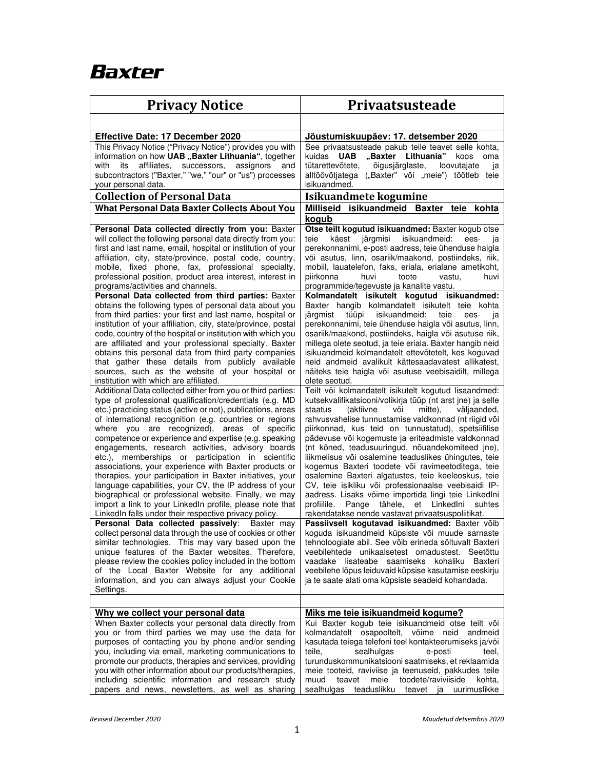## **Baxter**

| <b>Privacy Notice</b>                                                                                                                                                                                                                                                                                                                                                                                                                                                                                                                                                                                                                                                                                                                                                                                                              | <b>Privaatsusteade</b>                                                                                                                                                                                                                                                                                                                                                                                                                                                                                                                                                                                                                                                                                                                                                                                    |
|------------------------------------------------------------------------------------------------------------------------------------------------------------------------------------------------------------------------------------------------------------------------------------------------------------------------------------------------------------------------------------------------------------------------------------------------------------------------------------------------------------------------------------------------------------------------------------------------------------------------------------------------------------------------------------------------------------------------------------------------------------------------------------------------------------------------------------|-----------------------------------------------------------------------------------------------------------------------------------------------------------------------------------------------------------------------------------------------------------------------------------------------------------------------------------------------------------------------------------------------------------------------------------------------------------------------------------------------------------------------------------------------------------------------------------------------------------------------------------------------------------------------------------------------------------------------------------------------------------------------------------------------------------|
|                                                                                                                                                                                                                                                                                                                                                                                                                                                                                                                                                                                                                                                                                                                                                                                                                                    |                                                                                                                                                                                                                                                                                                                                                                                                                                                                                                                                                                                                                                                                                                                                                                                                           |
| Effective Date: 17 December 2020                                                                                                                                                                                                                                                                                                                                                                                                                                                                                                                                                                                                                                                                                                                                                                                                   | Jõustumiskuupäev: 17. detsember 2020                                                                                                                                                                                                                                                                                                                                                                                                                                                                                                                                                                                                                                                                                                                                                                      |
| This Privacy Notice ("Privacy Notice") provides you with<br>information on how UAB "Baxter Lithuania", together<br>with<br>its<br>affiliates.<br>successors,<br>assignors<br>and                                                                                                                                                                                                                                                                                                                                                                                                                                                                                                                                                                                                                                                   | See privaatsusteade pakub teile teavet selle kohta,<br><b>UAB</b><br>"Baxter<br>Lithuania"<br>kuidas<br>koos<br>oma<br>tütarettevõtete.<br>õigusjärglaste,<br>loovutajate<br>ja                                                                                                                                                                                                                                                                                                                                                                                                                                                                                                                                                                                                                           |
| subcontractors ("Baxter," "we," "our" or "us") processes<br>your personal data.                                                                                                                                                                                                                                                                                                                                                                                                                                                                                                                                                                                                                                                                                                                                                    | alltöövõtjatega ("Baxter" või "meie") töötleb teie<br>isikuandmed.                                                                                                                                                                                                                                                                                                                                                                                                                                                                                                                                                                                                                                                                                                                                        |
| <b>Collection of Personal Data</b>                                                                                                                                                                                                                                                                                                                                                                                                                                                                                                                                                                                                                                                                                                                                                                                                 | Isikuandmete kogumine                                                                                                                                                                                                                                                                                                                                                                                                                                                                                                                                                                                                                                                                                                                                                                                     |
| What Personal Data Baxter Collects About You                                                                                                                                                                                                                                                                                                                                                                                                                                                                                                                                                                                                                                                                                                                                                                                       | isikuandmeid Baxter teie<br>Milliseid<br>kohta                                                                                                                                                                                                                                                                                                                                                                                                                                                                                                                                                                                                                                                                                                                                                            |
|                                                                                                                                                                                                                                                                                                                                                                                                                                                                                                                                                                                                                                                                                                                                                                                                                                    | kogub                                                                                                                                                                                                                                                                                                                                                                                                                                                                                                                                                                                                                                                                                                                                                                                                     |
| Personal Data collected directly from you: Baxter<br>will collect the following personal data directly from you:<br>first and last name, email, hospital or institution of your<br>affiliation, city, state/province, postal code, country,<br>mobile, fixed phone, fax, professional specialty,<br>professional position, product area interest, interest in<br>programs/activities and channels.<br>Personal Data collected from third parties: Baxter                                                                                                                                                                                                                                                                                                                                                                           | Otse teilt kogutud isikuandmed: Baxter kogub otse<br>järgmisi<br>isikuandmeid:<br>teie<br>käest<br>ees-<br>۱a<br>perekonnanimi, e-posti aadress, teie ühenduse haigla<br>või asutus, linn, osariik/maakond, postiindeks, riik,<br>mobiil, lauatelefon, faks, eriala, erialane ametikoht,<br>piirkonna<br>huvi<br>toote<br>vastu,<br>huvi<br>programmide/tegevuste ja kanalite vastu.<br>Kolmandatelt isikutelt kogutud isikuandmed:                                                                                                                                                                                                                                                                                                                                                                       |
| obtains the following types of personal data about you<br>from third parties: your first and last name, hospital or<br>institution of your affiliation, city, state/province, postal<br>code, country of the hospital or institution with which you<br>are affiliated and your professional specialty. Baxter<br>obtains this personal data from third party companies<br>that gather these details from publicly available<br>sources, such as the website of your hospital or<br>institution with which are affiliated.                                                                                                                                                                                                                                                                                                          | Baxter hangib kolmandatelt isikutelt teie kohta<br>tüüpi<br>isikuandmeid:<br>teie<br>järgmist<br>ees-<br>ia<br>perekonnanimi, teie ühenduse haigla või asutus, linn,<br>osariik/maakond, postiindeks, haigla või asutuse riik,<br>millega olete seotud, ja teie eriala. Baxter hangib neid<br>isikuandmeid kolmandatelt ettevõtetelt, kes koguvad<br>neid andmeid avalikult kättesaadavatest allikatest.<br>näiteks teie haigla või asutuse veebisaidilt, millega<br>olete seotud.                                                                                                                                                                                                                                                                                                                        |
| Additional Data collected either from you or third parties:<br>type of professional qualification/credentials (e.g. MD<br>etc.) practicing status (active or not), publications, areas<br>of international recognition (e.g. countries or regions<br>where you are recognized), areas of specific<br>competence or experience and expertise (e.g. speaking<br>engagements, research activities, advisory boards<br>etc.), memberships or participation in scientific<br>associations, your experience with Baxter products or<br>therapies, your participation in Baxter initiatives, your<br>language capabilities, your CV, the IP address of your<br>biographical or professional website. Finally, we may<br>import a link to your LinkedIn profile, please note that<br>LinkedIn falls under their respective privacy policy. | Teilt või kolmandatelt isikutelt kogutud lisaandmed:<br>kutsekvalifikatsiooni/volikirja tüüp (nt arst jne) ja selle<br>staatus<br>(aktiivne<br>mitte).<br>või<br>väljaanded.<br>rahvusvahelise tunnustamise valdkonnad (nt riigid või<br>piirkonnad, kus teid on tunnustatud), spetsiifilise<br>pädevuse või kogemuste ja eriteadmiste valdkonnad<br>(nt kõned, teadusuuringud, nõuandekomiteed jne),<br>liikmelisus või osalemine teaduslikes ühingutes, teie<br>kogemus Baxteri toodete või ravimeetoditega, teie<br>osalemine Baxteri algatustes, teie keeleoskus, teie<br>CV, teie isikliku või professionaalse veebisaidi IP-<br>aadress. Lisaks võime importida lingi teie Linkedlni<br>profiilile.<br>Pange tähele,<br>et LinkedIni<br>suhtes<br>rakendatakse nende vastavat privaatsuspoliitikat. |
| Personal Data collected passively: Baxter may<br>collect personal data through the use of cookies or other                                                                                                                                                                                                                                                                                                                                                                                                                                                                                                                                                                                                                                                                                                                         | Passiivselt kogutavad isikuandmed: Baxter võib<br>koguda isikuandmeid küpsiste või muude sarnaste                                                                                                                                                                                                                                                                                                                                                                                                                                                                                                                                                                                                                                                                                                         |
| similar technologies. This may vary based upon the<br>unique features of the Baxter websites. Therefore,<br>please review the cookies policy included in the bottom<br>of the Local Baxter Website for any additional<br>information, and you can always adjust your Cookie<br>Settings.                                                                                                                                                                                                                                                                                                                                                                                                                                                                                                                                           | tehnoloogiate abil. See võib erineda sõltuvalt Baxteri<br>veebilehtede unikaalsetest omadustest. Seetõttu<br>vaadake lisateabe saamiseks kohaliku Baxteri<br>veebilehe lõpus leiduvaid küpsise kasutamise eeskirju<br>ja te saate alati oma küpsiste seadeid kohandada.                                                                                                                                                                                                                                                                                                                                                                                                                                                                                                                                   |
|                                                                                                                                                                                                                                                                                                                                                                                                                                                                                                                                                                                                                                                                                                                                                                                                                                    |                                                                                                                                                                                                                                                                                                                                                                                                                                                                                                                                                                                                                                                                                                                                                                                                           |
| Why we collect your personal data<br>When Baxter collects your personal data directly from<br>you or from third parties we may use the data for<br>purposes of contacting you by phone and/or sending<br>you, including via email, marketing communications to<br>promote our products, therapies and services, providing<br>you with other information about our products/therapies,<br>including scientific information and research study<br>papers and news, newsletters, as well as sharing                                                                                                                                                                                                                                                                                                                                   | Miks me teie isikuandmeid kogume?<br>Kui Baxter kogub teie isikuandmeid otse teilt või<br>kolmandatelt osapooltelt, võime neid andmeid<br>kasutada teiega telefoni teel kontakteerumiseks ja/või<br>teile,<br>sealhulgas<br>e-posti<br>teel.<br>turunduskommunikatsiooni saatmiseks, et reklaamida<br>meie tooteid, raviviise ja teenuseid, pakkudes teile<br>teavet<br>meie<br>toodete/raviviiside<br>muud<br>kohta.<br>sealhulgas<br>teaduslikku<br>teavet ja uurimuslikke                                                                                                                                                                                                                                                                                                                              |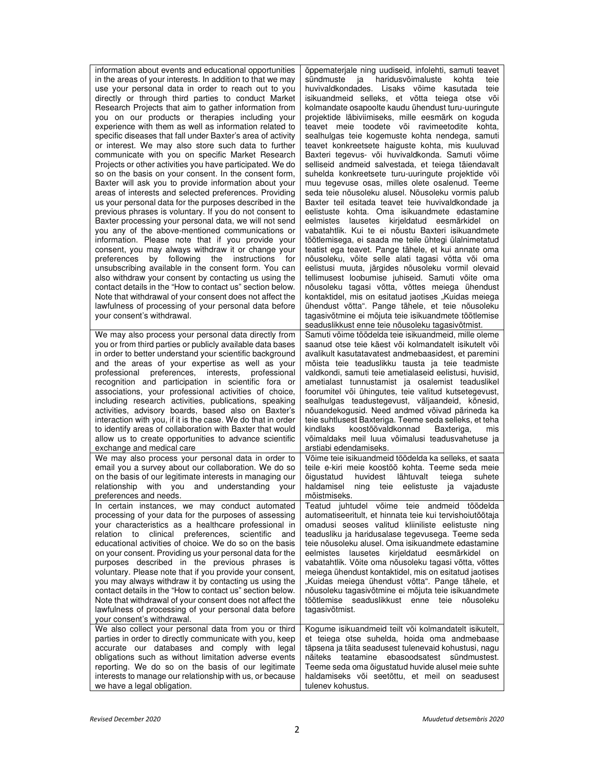| information about events and educational opportunities<br>in the areas of your interests. In addition to that we may | õppematerjale ning uudiseid, infolehti, samuti teavet<br>haridusvõimaluste<br>sündmuste<br>ia i<br>kohta<br>teie |
|----------------------------------------------------------------------------------------------------------------------|------------------------------------------------------------------------------------------------------------------|
| use your personal data in order to reach out to you                                                                  | huvivaldkondades. Lisaks võime kasutada<br>teie                                                                  |
| directly or through third parties to conduct Market                                                                  | isikuandmeid selleks, et võtta teiega otse või                                                                   |
| Research Projects that aim to gather information from                                                                | kolmandate osapoolte kaudu ühendust turu-uuringute                                                               |
| you on our products or therapies including your                                                                      | projektide läbiviimiseks, mille eesmärk on koguda                                                                |
| experience with them as well as information related to                                                               | teavet meie toodete või ravimeetodite kohta,                                                                     |
| specific diseases that fall under Baxter's area of activity                                                          | sealhulgas teie kogemuste kohta nendega, samuti                                                                  |
| or interest. We may also store such data to further                                                                  | teavet konkreetsete haiguste kohta, mis kuuluvad                                                                 |
| communicate with you on specific Market Research                                                                     | Baxteri tegevus- või huvivaldkonda. Samuti võime                                                                 |
| Projects or other activities you have participated. We do                                                            | selliseid andmeid salvestada, et teiega täiendavalt                                                              |
| so on the basis on your consent. In the consent form,                                                                | suhelda konkreetsete turu-uuringute projektide või                                                               |
| Baxter will ask you to provide information about your                                                                | muu tegevuse osas, milles olete osalenud. Teeme                                                                  |
| areas of interests and selected preferences. Providing                                                               | seda teje nõusoleku alusel. Nõusoleku vormis palub                                                               |
| us your personal data for the purposes described in the                                                              | Baxter teil esitada teavet teie huvivaldkondade ja<br>eelistuste kohta. Oma isikuandmete edastamine              |
| previous phrases is voluntary. If you do not consent to<br>Baxter processing your personal data, we will not send    | lausetes kirjeldatud eesmärkidel<br>eelmistes<br>on                                                              |
| you any of the above-mentioned communications or                                                                     | vabatahtlik. Kui te ei nõustu Baxteri isikuandmete                                                               |
| information. Please note that if you provide your                                                                    | töötlemisega, ei saada me teile ühtegi ülalnimetatud                                                             |
| consent, you may always withdraw it or change your                                                                   | teatist ega teavet. Pange tähele, et kui annate oma                                                              |
| by following the<br>instructions<br>for<br>preferences                                                               | nõusoleku, võite selle alati tagasi võtta või oma                                                                |
| unsubscribing available in the consent form. You can                                                                 | eelistusi muuta, järgides nõusoleku vormil olevaid                                                               |
| also withdraw your consent by contacting us using the                                                                | tellimusest loobumise juhiseid. Samuti võite oma                                                                 |
| contact details in the "How to contact us" section below.                                                            | nõusoleku tagasi võtta, võttes meiega ühendust                                                                   |
| Note that withdrawal of your consent does not affect the                                                             | kontaktidel, mis on esitatud jaotises "Kuidas meiega                                                             |
| lawfulness of processing of your personal data before                                                                | ühendust võtta". Pange tähele, et teie nõusoleku                                                                 |
| your consent's withdrawal.                                                                                           | tagasivõtmine ei mõjuta teie isikuandmete töötlemise                                                             |
|                                                                                                                      | seaduslikkust enne teie nõusoleku tagasivõtmist.                                                                 |
| We may also process your personal data directly from                                                                 | Samuti võime töödelda teie isikuandmeid, mille oleme                                                             |
| you or from third parties or publicly available data bases                                                           | saanud otse teie käest või kolmandatelt isikutelt või                                                            |
| in order to better understand your scientific background                                                             | avalikult kasutatavatest andmebaasidest, et paremini                                                             |
| and the areas of your expertise as well as your<br>professional preferences, interests,<br>professional              | mõista teie teaduslikku tausta ja teie teadmiste<br>valdkondi, samuti teie ametialaseid eelistusi, huvisid,      |
| recognition and participation in scientific fora or                                                                  | ametialast tunnustamist ja osalemist teaduslikel                                                                 |
| associations, your professional activities of choice,                                                                | foorumitel või ühingutes, teie valitud kutsetegevust,                                                            |
| including research activities, publications, speaking                                                                | sealhulgas teadustegevust, väljaandeid, kõnesid,                                                                 |
| activities, advisory boards, based also on Baxter's                                                                  | nõuandekogusid. Need andmed võivad pärineda ka                                                                   |
| interaction with you, if it is the case. We do that in order                                                         | teie suhtlusest Baxteriga. Teeme seda selleks, et teha                                                           |
| to identify areas of collaboration with Baxter that would                                                            | kindlaks<br>koostöövaldkonnad<br>Baxteriga,<br>mis                                                               |
| allow us to create opportunities to advance scientific                                                               | võimaldaks meil luua võimalusi teadusvahetuse ja                                                                 |
| exchange and medical care                                                                                            | arstiabi edendamiseks.                                                                                           |
| We may also process your personal data in order to                                                                   | Võime teie isikuandmeid töödelda ka selleks, et saata                                                            |
| email you a survey about our collaboration. We do so                                                                 | teile e-kiri meie koostöö kohta. Teeme seda meie                                                                 |
| on the basis of our legitimate interests in managing our                                                             | huvidest<br>lähtuvalt<br>õigustatud<br>teiega<br>suhete                                                          |
| relationship with you<br>and<br>understanding<br>your                                                                | haldamisel<br>teie eelistuste ja vajaduste<br>ning                                                               |
| preferences and needs.                                                                                               | mõistmiseks.                                                                                                     |
| In certain instances, we may conduct automated                                                                       | Teatud juhtudel võime teie andmeid töödelda<br>automatiseeritult, et hinnata teie kui tervishoiutöötaja          |
| processing of your data for the purposes of assessing<br>your characteristics as a healthcare professional in        | omadusi seoses valitud kliiniliste eelistuste ning                                                               |
| relation to clinical preferences, scientific<br>and                                                                  | teadusliku ja haridusalase tegevusega. Teeme seda                                                                |
| educational activities of choice. We do so on the basis                                                              | teie nõusoleku alusel. Oma isikuandmete edastamine                                                               |
| on your consent. Providing us your personal data for the                                                             | eelmistes lausetes kirjeldatud eesmärkidel on                                                                    |
| purposes described in the previous phrases is                                                                        | vabatahtlik. Võite oma nõusoleku tagasi võtta, võttes                                                            |
| voluntary. Please note that if you provide your consent,                                                             | meiega ühendust kontaktidel, mis on esitatud jaotises                                                            |
| you may always withdraw it by contacting us using the                                                                | "Kuidas meiega ühendust võtta". Pange tähele, et                                                                 |
| contact details in the "How to contact us" section below.                                                            | nõusoleku tagasivõtmine ei mõjuta teie isikuandmete                                                              |
| Note that withdrawal of your consent does not affect the                                                             | töötlemise seaduslikkust enne teie nõusoleku                                                                     |
| lawfulness of processing of your personal data before                                                                | tagasivõtmist.                                                                                                   |
| your consent's withdrawal.                                                                                           |                                                                                                                  |
| We also collect your personal data from you or third                                                                 | Kogume isikuandmeid teilt või kolmandatelt isikutelt,                                                            |
| parties in order to directly communicate with you, keep                                                              | et teiega otse suhelda, hoida oma andmebaase                                                                     |
| accurate our databases and comply with legal                                                                         |                                                                                                                  |
|                                                                                                                      | täpsena ja täita seadusest tulenevaid kohustusi, nagu                                                            |
| obligations such as without limitation adverse events                                                                | näiteks teatamine ebasoodsatest sündmustest.                                                                     |
| reporting. We do so on the basis of our legitimate<br>interests to manage our relationship with us, or because       | Teeme seda oma õigustatud huvide alusel meie suhte<br>haldamiseks või seetõttu, et meil on seadusest             |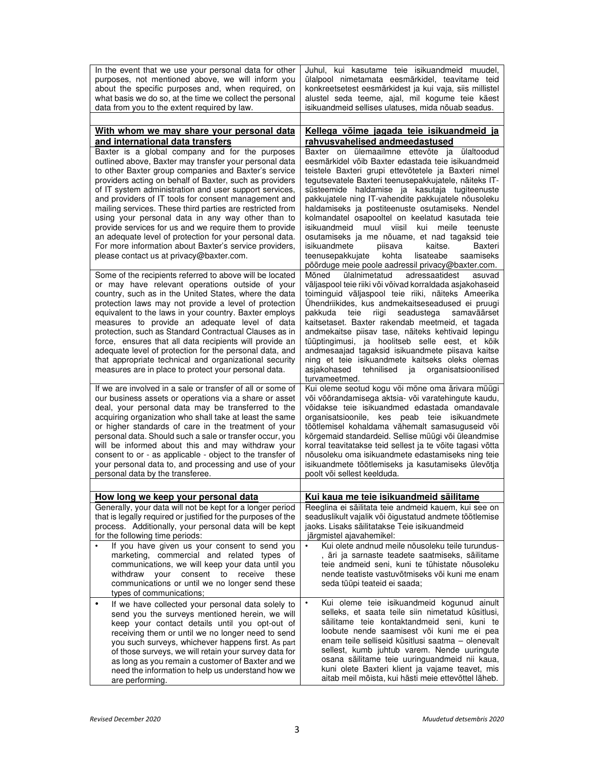| In the event that we use your personal data for other<br>purposes, not mentioned above, we will inform you<br>about the specific purposes and, when required, on<br>what basis we do so, at the time we collect the personal<br>data from you to the extent required by law.                                                                                                                                                                                                                                                                                                                                                                                                                                                                                                                                                                                        | Juhul, kui kasutame teie isikuandmeid muudel,<br>ülalpool nimetamata eesmärkidel, teavitame teid<br>konkreetsetest eesmärkidest ja kui vaja, siis millistel<br>alustel seda teeme, ajal, mil kogume teie käest<br>isikuandmeid sellises ulatuses, mida nõuab seadus.                                                                                                                                                                                                                                                                                                                                                                                                                                                                                                                                                                                                                     |
|---------------------------------------------------------------------------------------------------------------------------------------------------------------------------------------------------------------------------------------------------------------------------------------------------------------------------------------------------------------------------------------------------------------------------------------------------------------------------------------------------------------------------------------------------------------------------------------------------------------------------------------------------------------------------------------------------------------------------------------------------------------------------------------------------------------------------------------------------------------------|------------------------------------------------------------------------------------------------------------------------------------------------------------------------------------------------------------------------------------------------------------------------------------------------------------------------------------------------------------------------------------------------------------------------------------------------------------------------------------------------------------------------------------------------------------------------------------------------------------------------------------------------------------------------------------------------------------------------------------------------------------------------------------------------------------------------------------------------------------------------------------------|
| With whom we may share your personal data<br>and international data transfers                                                                                                                                                                                                                                                                                                                                                                                                                                                                                                                                                                                                                                                                                                                                                                                       | Kellega võime jagada teie isikuandmeid ja<br>rahvusvahelised andmeedastused                                                                                                                                                                                                                                                                                                                                                                                                                                                                                                                                                                                                                                                                                                                                                                                                              |
| Baxter is a global company and for the purposes<br>outlined above, Baxter may transfer your personal data<br>to other Baxter group companies and Baxter's service<br>providers acting on behalf of Baxter, such as providers<br>of IT system administration and user support services,<br>and providers of IT tools for consent management and<br>mailing services. These third parties are restricted from<br>using your personal data in any way other than to<br>provide services for us and we require them to provide<br>an adequate level of protection for your personal data.<br>For more information about Baxter's service providers,<br>please contact us at privacy@baxter.com.<br>Some of the recipients referred to above will be located<br>or may have relevant operations outside of your<br>country, such as in the United States, where the data | Baxter on ülemaailmne ettevõte ja ülaltoodud<br>eesmärkidel võib Baxter edastada teie isikuandmeid<br>teistele Baxteri grupi ettevõtetele ja Baxteri nimel<br>tegutsevatele Baxteri teenusepakkujatele, näiteks IT-<br>süsteemide haldamise ja kasutaja tugiteenuste<br>pakkujatele ning IT-vahendite pakkujatele nõusoleku<br>haldamiseks ja postiteenuste osutamiseks. Nendel<br>kolmandatel osapooltel on keelatud kasutada teie<br>isikuandmeid<br>muul<br>viisil<br>kui<br>meile<br>teenuste<br>osutamiseks ja me nõuame, et nad tagaksid teie<br>isikuandmete<br>piisava<br>kaitse.<br>Baxteri<br>teenusepakkujate<br>kohta<br>lisateabe<br>saamiseks<br>pöörduge meie poole aadressil privacy@baxter.com.<br>Mõned<br>ülalnimetatud<br>adressaatidest<br>asuvad<br>väljaspool teie riiki või võivad korraldada asjakohaseid<br>toiminguid väljaspool teie riiki, näiteks Ameerika |
| protection laws may not provide a level of protection<br>equivalent to the laws in your country. Baxter employs<br>measures to provide an adequate level of data<br>protection, such as Standard Contractual Clauses as in<br>force, ensures that all data recipients will provide an<br>adequate level of protection for the personal data, and<br>that appropriate technical and organizational security<br>measures are in place to protect your personal data.                                                                                                                                                                                                                                                                                                                                                                                                  | Uhendriikides, kus andmekaitseseadused ei pruugi<br>pakkuda<br>teie<br>riigi<br>seadustega<br>samaväärset<br>kaitsetaset. Baxter rakendab meetmeid, et tagada<br>andmekaitse piisav tase, näiteks kehtivaid lepingu<br>tüüptingimusi, ja hoolitseb selle eest, et kõik<br>andmesaajad tagaksid isikuandmete piisava kaitse<br>ning et teie isikuandmete kaitseks oleks olemas<br>asiakohased<br>tehnilised ja organisatsioonilised<br>turvameetmed.                                                                                                                                                                                                                                                                                                                                                                                                                                      |
| If we are involved in a sale or transfer of all or some of<br>our business assets or operations via a share or asset<br>deal, your personal data may be transferred to the<br>acquiring organization who shall take at least the same<br>or higher standards of care in the treatment of your<br>personal data. Should such a sale or transfer occur, you<br>will be informed about this and may withdraw your<br>consent to or - as applicable - object to the transfer of<br>your personal data to, and processing and use of your<br>personal data by the transferee.                                                                                                                                                                                                                                                                                            | Kui oleme seotud kogu või mõne oma ärivara müügi<br>või võõrandamisega aktsia- või varatehingute kaudu,<br>võidakse teie isikuandmed edastada omandavale<br>organisatsioonile, kes peab teie isikuandmete<br>töötlemisel kohaldama vähemalt samasuguseid või<br>kõrgemaid standardeid. Sellise müügi või üleandmise<br>korral teavitatakse teid sellest ja te võite tagasi võtta<br>nõusoleku oma isikuandmete edastamiseks ning teie<br>isikuandmete töötlemiseks ja kasutamiseks ülevõtja<br>poolt või sellest keelduda.                                                                                                                                                                                                                                                                                                                                                               |
| How long we keep your personal data                                                                                                                                                                                                                                                                                                                                                                                                                                                                                                                                                                                                                                                                                                                                                                                                                                 | Kui kaua me teie isikuandmeid säilitame                                                                                                                                                                                                                                                                                                                                                                                                                                                                                                                                                                                                                                                                                                                                                                                                                                                  |
| Generally, your data will not be kept for a longer period<br>that is legally required or justified for the purposes of the<br>process. Additionally, your personal data will be kept<br>for the following time periods:<br>If you have given us your consent to send you<br>marketing, commercial and related types of<br>communications, we will keep your data until you<br>withdraw your consent to receive<br>these<br>communications or until we no longer send these<br>types of communications;                                                                                                                                                                                                                                                                                                                                                              | Reeglina ei säilitata teie andmeid kauem, kui see on<br>seaduslikult vajalik või õigustatud andmete töötlemise<br>jaoks. Lisaks säilitatakse Teie isikuandmeid<br>järgmistel ajavahemikel:<br>Kui olete andnud meile nõusoleku teile turundus-<br>, äri ja sarnaste teadete saatmiseks, säilitame<br>teie andmeid seni, kuni te tühistate nõusoleku<br>nende teatiste vastuvõtmiseks või kuni me enam<br>seda tüüpi teateid ei saada;                                                                                                                                                                                                                                                                                                                                                                                                                                                    |
| If we have collected your personal data solely to<br>٠<br>send you the surveys mentioned herein, we will<br>keep your contact details until you opt-out of<br>receiving them or until we no longer need to send<br>you such surveys, whichever happens first. As part<br>of those surveys, we will retain your survey data for<br>as long as you remain a customer of Baxter and we<br>need the information to help us understand how we<br>are performing.                                                                                                                                                                                                                                                                                                                                                                                                         | Kui oleme teie isikuandmeid kogunud ainult<br>selleks, et saata teile siin nimetatud küsitlusi,<br>säilitame teie kontaktandmeid seni, kuni te<br>loobute nende saamisest või kuni me ei pea<br>enam teile selliseid küsitlusi saatma – olenevalt<br>sellest, kumb juhtub varem. Nende uuringute<br>osana säilitame teie uuringuandmeid nii kaua,<br>kuni olete Baxteri klient ja vajame teavet, mis<br>aitab meil mõista, kui hästi meie ettevõttel läheb.                                                                                                                                                                                                                                                                                                                                                                                                                              |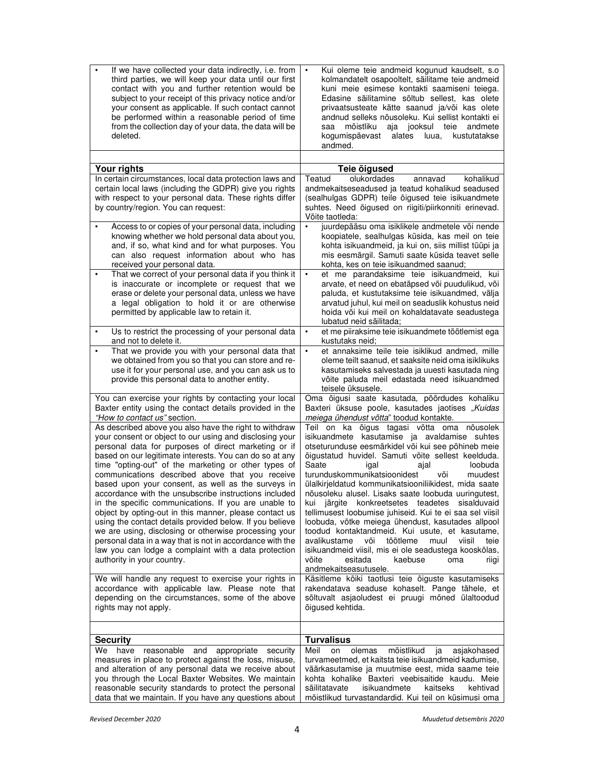| If we have collected your data indirectly, i.e. from<br>third parties, we will keep your data until our first<br>contact with you and further retention would be<br>subject to your receipt of this privacy notice and/or<br>your consent as applicable. If such contact cannot<br>be performed within a reasonable period of time<br>from the collection day of your data, the data will be<br>deleted.                                                                                                                                                                                                                                                                                                                                                                                                                                                                                                                                                                                                     | Kui oleme teie andmeid kogunud kaudselt, s.o<br>kolmandatelt osapooltelt, säilitame teie andmeid<br>kuni meie esimese kontakti saamiseni teiega.<br>Edasine säilitamine sõltub sellest, kas olete<br>privaatsusteate kätte saanud ja/või kas olete<br>andnud selleks nõusoleku. Kui sellist kontakti ei<br>mõistliku<br>aja jooksul teie<br>andmete<br>saa<br>kogumispäevast<br>alates<br>luua,<br>kustutatakse<br>andmed.                                                                                                                                                                                                                                                                                                                                                                                                                                                                                                                                                      |
|--------------------------------------------------------------------------------------------------------------------------------------------------------------------------------------------------------------------------------------------------------------------------------------------------------------------------------------------------------------------------------------------------------------------------------------------------------------------------------------------------------------------------------------------------------------------------------------------------------------------------------------------------------------------------------------------------------------------------------------------------------------------------------------------------------------------------------------------------------------------------------------------------------------------------------------------------------------------------------------------------------------|---------------------------------------------------------------------------------------------------------------------------------------------------------------------------------------------------------------------------------------------------------------------------------------------------------------------------------------------------------------------------------------------------------------------------------------------------------------------------------------------------------------------------------------------------------------------------------------------------------------------------------------------------------------------------------------------------------------------------------------------------------------------------------------------------------------------------------------------------------------------------------------------------------------------------------------------------------------------------------|
| Your rights                                                                                                                                                                                                                                                                                                                                                                                                                                                                                                                                                                                                                                                                                                                                                                                                                                                                                                                                                                                                  | Teie õigused                                                                                                                                                                                                                                                                                                                                                                                                                                                                                                                                                                                                                                                                                                                                                                                                                                                                                                                                                                    |
| In certain circumstances, local data protection laws and                                                                                                                                                                                                                                                                                                                                                                                                                                                                                                                                                                                                                                                                                                                                                                                                                                                                                                                                                     | Teatud<br>olukordades<br>annavad<br>kohalikud                                                                                                                                                                                                                                                                                                                                                                                                                                                                                                                                                                                                                                                                                                                                                                                                                                                                                                                                   |
| certain local laws (including the GDPR) give you rights<br>with respect to your personal data. These rights differ<br>by country/region. You can request:                                                                                                                                                                                                                                                                                                                                                                                                                                                                                                                                                                                                                                                                                                                                                                                                                                                    | andmekaitseseadused ja teatud kohalikud seadused<br>(sealhulgas GDPR) teile õigused teie isikuandmete<br>suhtes. Need õigused on riigiti/piirkonniti erinevad.<br>Võite taotleda:                                                                                                                                                                                                                                                                                                                                                                                                                                                                                                                                                                                                                                                                                                                                                                                               |
| Access to or copies of your personal data, including<br>knowing whether we hold personal data about you,<br>and, if so, what kind and for what purposes. You<br>can also request information about who has<br>received your personal data.                                                                                                                                                                                                                                                                                                                                                                                                                                                                                                                                                                                                                                                                                                                                                                   | juurdepääsu oma isiklikele andmetele või nende<br>$\bullet$<br>koopiatele, sealhulgas küsida, kas meil on teie<br>kohta isikuandmeid, ja kui on, siis millist tüüpi ja<br>mis eesmärgil. Samuti saate küsida teavet selle<br>kohta, kes on teie isikuandmed saanud;                                                                                                                                                                                                                                                                                                                                                                                                                                                                                                                                                                                                                                                                                                             |
| That we correct of your personal data if you think it<br>$\bullet$<br>is inaccurate or incomplete or request that we<br>erase or delete your personal data, unless we have<br>a legal obligation to hold it or are otherwise<br>permitted by applicable law to retain it.                                                                                                                                                                                                                                                                                                                                                                                                                                                                                                                                                                                                                                                                                                                                    | et me parandaksime teie isikuandmeid, kui<br>$\bullet$<br>arvate, et need on ebatäpsed või puudulikud, või<br>paluda, et kustutaksime teie isikuandmed, välja<br>arvatud juhul, kui meil on seaduslik kohustus neid<br>hoida või kui meil on kohaldatavate seadustega<br>lubatud neid säilitada;                                                                                                                                                                                                                                                                                                                                                                                                                                                                                                                                                                                                                                                                                |
| Us to restrict the processing of your personal data<br>$\bullet$<br>and not to delete it.                                                                                                                                                                                                                                                                                                                                                                                                                                                                                                                                                                                                                                                                                                                                                                                                                                                                                                                    | et me piiraksime teie isikuandmete töötlemist ega<br>$\bullet$<br>kustutaks neid:                                                                                                                                                                                                                                                                                                                                                                                                                                                                                                                                                                                                                                                                                                                                                                                                                                                                                               |
| That we provide you with your personal data that<br>٠<br>we obtained from you so that you can store and re-<br>use it for your personal use, and you can ask us to<br>provide this personal data to another entity.                                                                                                                                                                                                                                                                                                                                                                                                                                                                                                                                                                                                                                                                                                                                                                                          | et annaksime teile teie isiklikud andmed, mille<br>$\bullet$<br>oleme teilt saanud, et saaksite neid oma isiklikuks<br>kasutamiseks salvestada ja uuesti kasutada ning<br>võite paluda meil edastada need isikuandmed<br>teisele üksusele.                                                                                                                                                                                                                                                                                                                                                                                                                                                                                                                                                                                                                                                                                                                                      |
| You can exercise your rights by contacting your local<br>Baxter entity using the contact details provided in the<br>"How to contact us" section.<br>As described above you also have the right to withdraw<br>your consent or object to our using and disclosing your<br>personal data for purposes of direct marketing or if<br>based on our legitimate interests. You can do so at any<br>time "opting-out" of the marketing or other types of<br>communications described above that you receive<br>based upon your consent, as well as the surveys in<br>accordance with the unsubscribe instructions included<br>in the specific communications. If you are unable to<br>object by opting-out in this manner, please contact us<br>using the contact details provided below. If you believe<br>we are using, disclosing or otherwise processing your<br>personal data in a way that is not in accordance with the<br>law you can lodge a complaint with a data protection<br>authority in your country. | Oma õigusi saate kasutada, pöördudes kohaliku<br>Baxteri üksuse poole, kasutades jaotises "Kuidas<br>meiega ühendust võtta" toodud kontakte.<br>Teil on ka õigus tagasi võtta oma nõusolek<br>isikuandmete kasutamise ja avaldamise suhtes<br>otseturunduse eesmärkidel või kui see põhineb meie<br>õigustatud huvidel. Samuti võite sellest keelduda.<br>Saate<br>loobuda<br>igal<br>ajal<br>turunduskommunikatsioonidest<br>muudest<br>või<br>ülalkirjeldatud kommunikatsiooniliikidest, mida saate<br>nõusoleku alusel. Lisaks saate loobuda uuringutest,<br>kui järgite konkreetsetes teadetes sisalduvaid<br>tellimusest loobumise juhiseid. Kui te ei saa sel viisil<br>loobuda, võtke meiega ühendust, kasutades allpool<br>toodud kontaktandmeid. Kui usute, et kasutame,<br>avalikustame<br>töötleme<br>muul<br>viisil<br>või<br>teie<br>isikuandmeid viisil, mis ei ole seadustega kooskõlas,<br>võite<br>esitada<br>kaebuse<br>riigi<br>oma<br>andmekaitseasutusele. |
| We will handle any request to exercise your rights in<br>accordance with applicable law. Please note that<br>depending on the circumstances, some of the above<br>rights may not apply.                                                                                                                                                                                                                                                                                                                                                                                                                                                                                                                                                                                                                                                                                                                                                                                                                      | Käsitleme kõiki taotlusi teie õiguste kasutamiseks<br>rakendatava seaduse kohaselt. Pange tähele, et<br>sõltuvalt asjaoludest ei pruugi mõned ülaltoodud<br>õigused kehtida.                                                                                                                                                                                                                                                                                                                                                                                                                                                                                                                                                                                                                                                                                                                                                                                                    |
| <b>Security</b><br>We have<br>reasonable<br>and<br>appropriate<br>security<br>measures in place to protect against the loss, misuse,<br>and alteration of any personal data we receive about<br>you through the Local Baxter Websites. We maintain<br>reasonable security standards to protect the personal<br>data that we maintain. If you have any questions about                                                                                                                                                                                                                                                                                                                                                                                                                                                                                                                                                                                                                                        | <b>Turvalisus</b><br>Meil<br>on<br>mõistlikud<br>olemas<br>asjakohased<br>ja<br>turvameetmed, et kaitsta teie isikuandmeid kadumise,<br>väärkasutamise ja muutmise eest, mida saame teie<br>kohta kohalike Baxteri veebisaitide kaudu. Meie<br>säilitatavate<br>isikuandmete<br>kaitseks<br>kehtivad<br>mõistlikud turvastandardid. Kui teil on küsimusi oma                                                                                                                                                                                                                                                                                                                                                                                                                                                                                                                                                                                                                    |